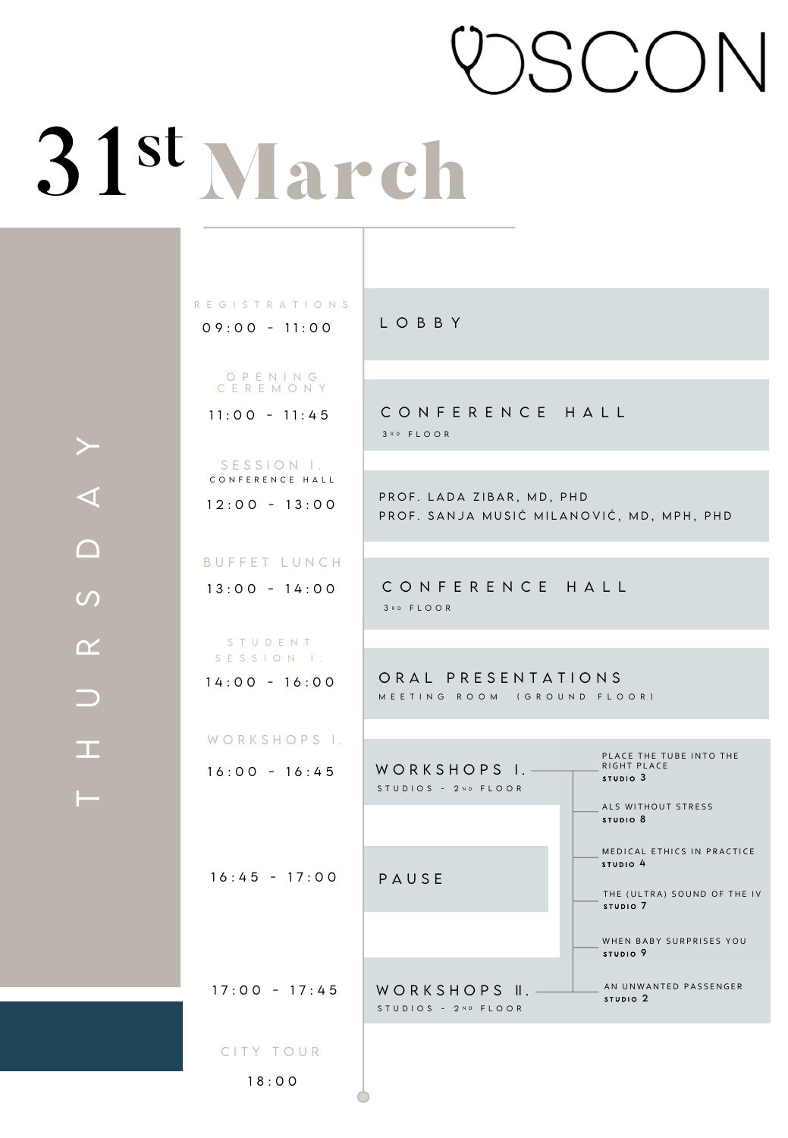# **ISCON**

# SIMAPCH<br>
SEGISTRATIONS<br>
OPENING<br>
CEREMONY<br>
II:00 - 11:45 CONFE<br>
SESSION L.<br>
CEREMONY<br>
II:00 - 11:45 CONFE<br>
SESSION L.<br>
CONFE<br>
SESSION L.<br>
PROF. SANJ<br>
DUFFET LUNCH<br>
13:00 - 14:00 CONFE<br>
NORE SANJ<br>
NORE SANJ<br>
II:00 - 14:00 C

 $09:00 - 11:00$ REGiSTRATiONS

> OPENiNG CEREMONY

11:00 - 11:45

12:00 - 13:00 SESSION I. CONFERENCE HALL

13:00 - 14:00 BUFFET LUNCH

14:00 - 16:00 STUDENT SESSION I.

16:00 - 16:45 WORKSHOPS i. LOBBY

CONFERENCE HALL 3 R D FLOOR

PROF. LADA ZiBAR, MD, PHD PROF. SANJA MUSIC MILANOVIC, MD, MPH, PHD

CONFERENCE HALL 3 RD FLOOR

ORAL PRESENTATIONS MEETING ROOM (GROUND FLOOR)

16:45 - 17:00 WORKSHOPS 1. PAUSE 17:00 - 17:45 | WORKSHOPS ||. <u>\_\_\_\_\_\_</u> AN UNWANTED PASSENGER PLACE THE TUBE INTO THE RIGHT PLACE ALS WITHOUT STRESS MEDICAL ETHICS IN PRACTICE THE (ULTRA) SOUND OF THE IV WHEN BABY SURPRISES YOU CITY TOUR STUDIOS - 2ND FLOOR STUDIOS - 2ND FLOOR STUDIO 3 STUDIO 8 STUDIO 4 STUDIO 9 STUDIO 7 STUDIO 2

18:00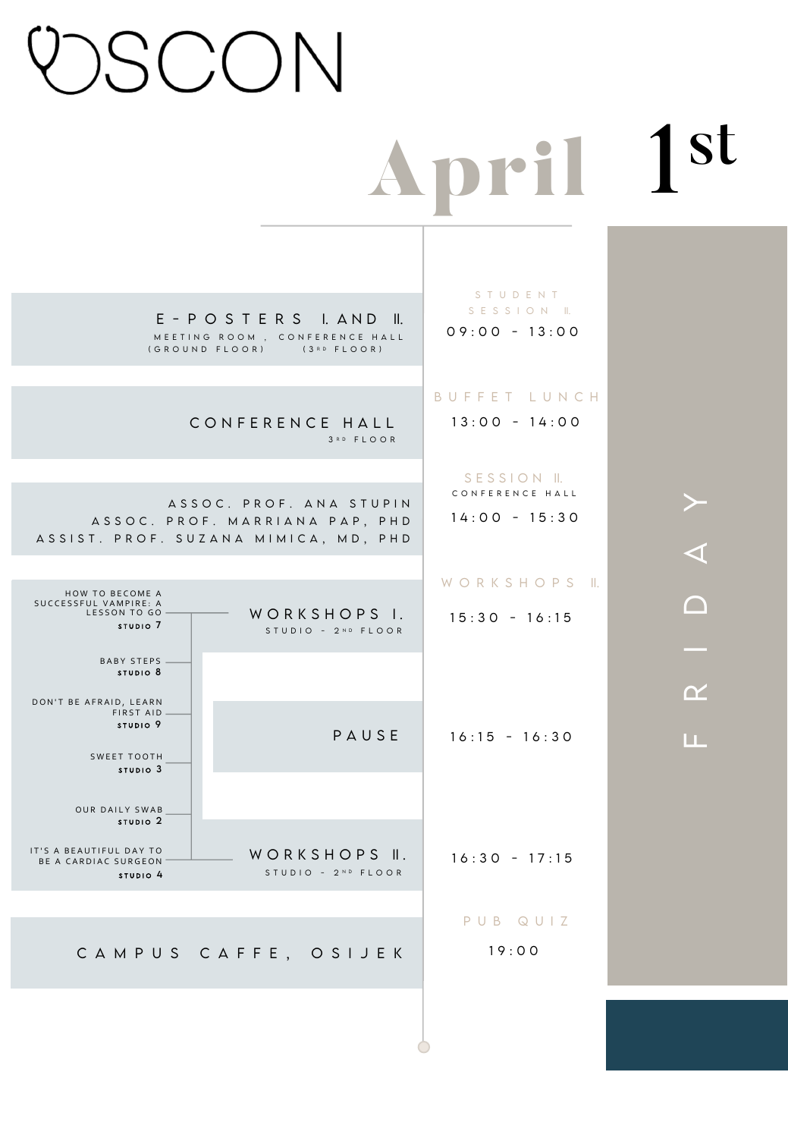# **SCON**

# pril 1st

E - POSTERS I. AND II. MEETiNG ROOM , CONFERENCE HALL (GROUND FLOOR) (3RD FLOOR)

## CONFERENCE HALL 3 RD FLOOR

ASSOC. PROF. ANA STUPiN ASSOC. PROF. MARRiANA PAP, PHD ASSiST. PROF. SUZANA MiMiCA, MD, PHD

| <b>HOW TO BECOME A</b><br>SUCCESSFUL VAMPIRE: A<br>LESSON TO GO<br>STUDIO <sub>7</sub> | WORKSHOPS L.<br>STUDIO - 2ND FLOOR | WORKSHOPS<br>$15:30 - 16:15$ |
|----------------------------------------------------------------------------------------|------------------------------------|------------------------------|
| <b>BABY STEPS</b><br>STUDIO <sub>8</sub>                                               |                                    |                              |
| DON'T BE AFRAID, LEARN<br>FIRST AID<br>STUDIO <sub>9</sub>                             | PAUSE                              | $16:15 - 16:30$              |
| <b>SWEET TOOTH</b><br>STUDIO <sub>3</sub><br><b>OUR DAILY SWAB</b>                     |                                    |                              |
| STUDIO <sub>2</sub><br>IT'S A BEAUTIFUL DAY TO<br>BE A CARDIAC SURGEON                 | WORKSHOPS II.                      | $16:30 - 17:15$              |
| STUDIO <sub>4</sub>                                                                    | STUDIO - 2ND FLOOR                 |                              |
|                                                                                        | CAMPUS CAFFE, OSIJEK               | PUB QUIZ<br>19:00            |

## 09:00 - 13:00 STUDENT SESSION II.

## BUFFET LUNCH

13:00 - 14:00

14:00 - 15:30 SESSION II. CONFERENCE HALL

## KSHOPS II.

FRIDAY  $\blacktriangleleft$  $\bigcap$  $\alpha$ 

≻

LЦ.